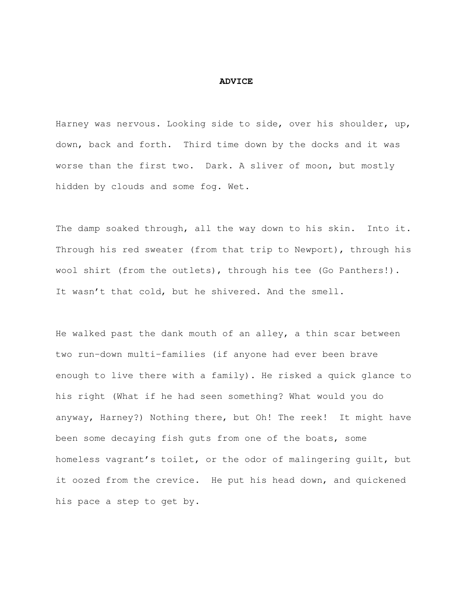## **ADVICE**

Harney was nervous. Looking side to side, over his shoulder, up, down, back and forth. Third time down by the docks and it was worse than the first two. Dark. A sliver of moon, but mostly hidden by clouds and some fog. Wet.

The damp soaked through, all the way down to his skin. Into it. Through his red sweater (from that trip to Newport), through his wool shirt (from the outlets), through his tee (Go Panthers!). It wasn't that cold, but he shivered. And the smell.

He walked past the dank mouth of an alley, a thin scar between two run-down multi-families (if anyone had ever been brave enough to live there with a family). He risked a quick glance to his right (What if he had seen something? What would you do anyway, Harney?) Nothing there, but Oh! The reek! It might have been some decaying fish guts from one of the boats, some homeless vagrant's toilet, or the odor of malingering guilt, but it oozed from the crevice. He put his head down, and quickened his pace a step to get by.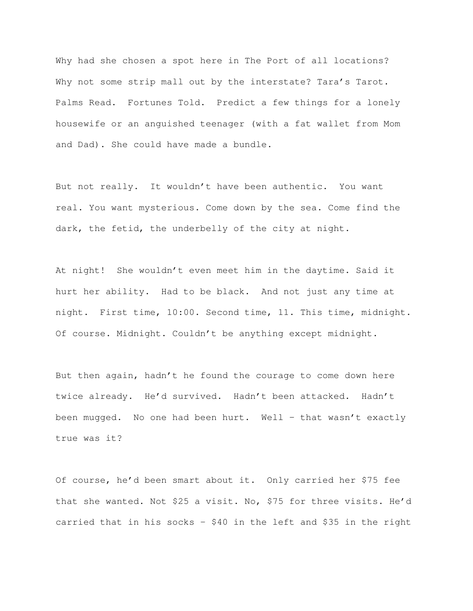Why had she chosen a spot here in The Port of all locations? Why not some strip mall out by the interstate? Tara's Tarot. Palms Read. Fortunes Told. Predict a few things for a lonely housewife or an anguished teenager (with a fat wallet from Mom and Dad). She could have made a bundle.

But not really. It wouldn't have been authentic. You want real. You want mysterious. Come down by the sea. Come find the dark, the fetid, the underbelly of the city at night.

At night! She wouldn't even meet him in the daytime. Said it hurt her ability. Had to be black. And not just any time at night. First time, 10:00. Second time, 11. This time, midnight. Of course. Midnight. Couldn't be anything except midnight.

But then again, hadn't he found the courage to come down here twice already. He'd survived. Hadn't been attacked. Hadn't been mugged. No one had been hurt. Well – that wasn't exactly true was it?

Of course, he'd been smart about it. Only carried her \$75 fee that she wanted. Not \$25 a visit. No, \$75 for three visits. He'd carried that in his socks - \$40 in the left and \$35 in the right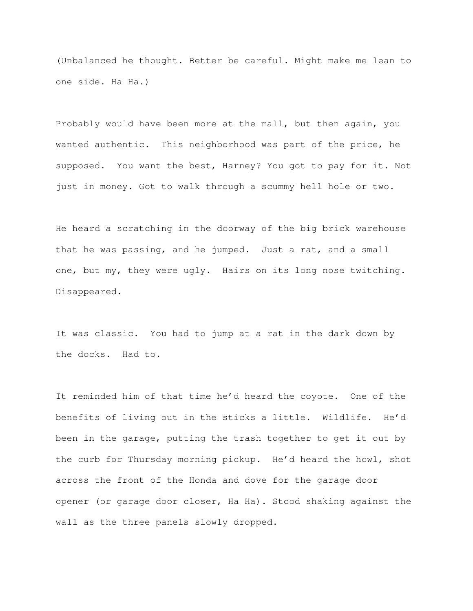(Unbalanced he thought. Better be careful. Might make me lean to one side. Ha Ha.)

Probably would have been more at the mall, but then again, you wanted authentic. This neighborhood was part of the price, he supposed. You want the best, Harney? You got to pay for it. Not just in money. Got to walk through a scummy hell hole or two.

He heard a scratching in the doorway of the big brick warehouse that he was passing, and he jumped. Just a rat, and a small one, but my, they were ugly. Hairs on its long nose twitching. Disappeared.

It was classic. You had to jump at a rat in the dark down by the docks. Had to.

It reminded him of that time he'd heard the coyote. One of the benefits of living out in the sticks a little. Wildlife. He'd been in the garage, putting the trash together to get it out by the curb for Thursday morning pickup. He'd heard the howl, shot across the front of the Honda and dove for the garage door opener (or garage door closer, Ha Ha). Stood shaking against the wall as the three panels slowly dropped.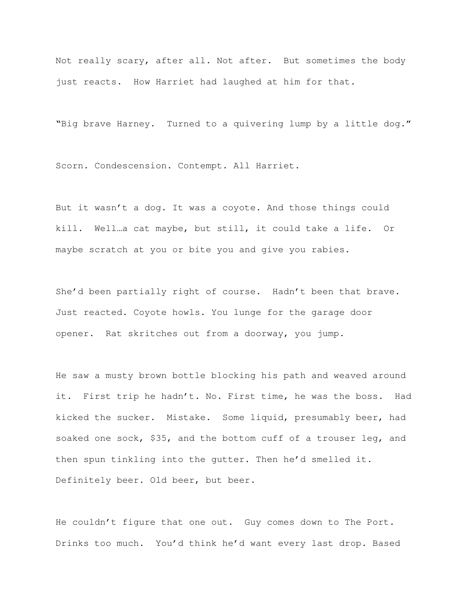Not really scary, after all. Not after. But sometimes the body just reacts. How Harriet had laughed at him for that.

"Big brave Harney. Turned to a quivering lump by a little dog."

Scorn. Condescension. Contempt. All Harriet.

But it wasn't a dog. It was a coyote. And those things could kill. Well…a cat maybe, but still, it could take a life. Or maybe scratch at you or bite you and give you rabies.

She'd been partially right of course. Hadn't been that brave. Just reacted. Coyote howls. You lunge for the garage door opener. Rat skritches out from a doorway, you jump.

He saw a musty brown bottle blocking his path and weaved around it. First trip he hadn't. No. First time, he was the boss. Had kicked the sucker. Mistake. Some liquid, presumably beer, had soaked one sock, \$35, and the bottom cuff of a trouser leg, and then spun tinkling into the gutter. Then he'd smelled it. Definitely beer. Old beer, but beer.

He couldn't figure that one out. Guy comes down to The Port. Drinks too much. You'd think he'd want every last drop. Based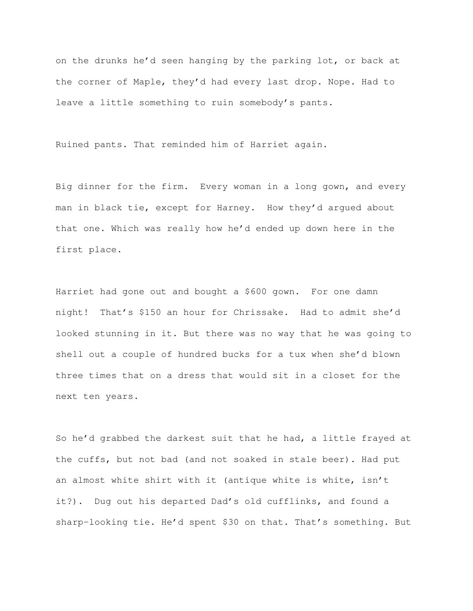on the drunks he'd seen hanging by the parking lot, or back at the corner of Maple, they'd had every last drop. Nope. Had to leave a little something to ruin somebody's pants.

Ruined pants. That reminded him of Harriet again.

Big dinner for the firm. Every woman in a long gown, and every man in black tie, except for Harney. How they'd argued about that one. Which was really how he'd ended up down here in the first place.

Harriet had gone out and bought a \$600 gown. For one damn night! That's \$150 an hour for Chrissake. Had to admit she'd looked stunning in it. But there was no way that he was going to shell out a couple of hundred bucks for a tux when she'd blown three times that on a dress that would sit in a closet for the next ten years.

So he'd grabbed the darkest suit that he had, a little frayed at the cuffs, but not bad (and not soaked in stale beer). Had put an almost white shirt with it (antique white is white, isn't it?). Dug out his departed Dad's old cufflinks, and found a sharp-looking tie. He'd spent \$30 on that. That's something. But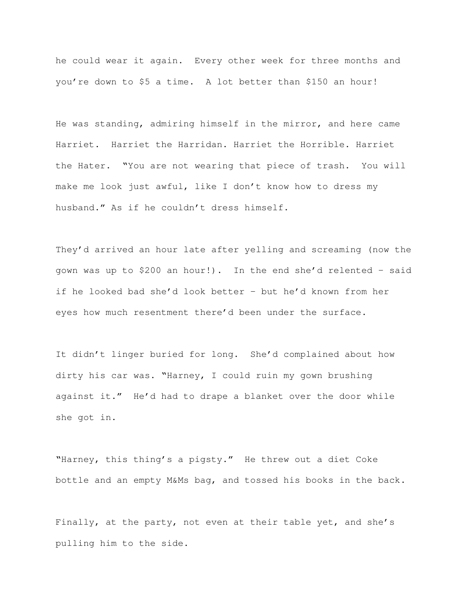he could wear it again. Every other week for three months and you're down to \$5 a time. A lot better than \$150 an hour!

He was standing, admiring himself in the mirror, and here came Harriet. Harriet the Harridan. Harriet the Horrible. Harriet the Hater. "You are not wearing that piece of trash. You will make me look just awful, like I don't know how to dress my husband." As if he couldn't dress himself.

They'd arrived an hour late after yelling and screaming (now the gown was up to \$200 an hour!). In the end she'd relented – said if he looked bad she'd look better – but he'd known from her eyes how much resentment there'd been under the surface.

It didn't linger buried for long. She'd complained about how dirty his car was. "Harney, I could ruin my gown brushing against it." He'd had to drape a blanket over the door while she got in.

"Harney, this thing's a pigsty." He threw out a diet Coke bottle and an empty M&Ms bag, and tossed his books in the back.

Finally, at the party, not even at their table yet, and she's pulling him to the side.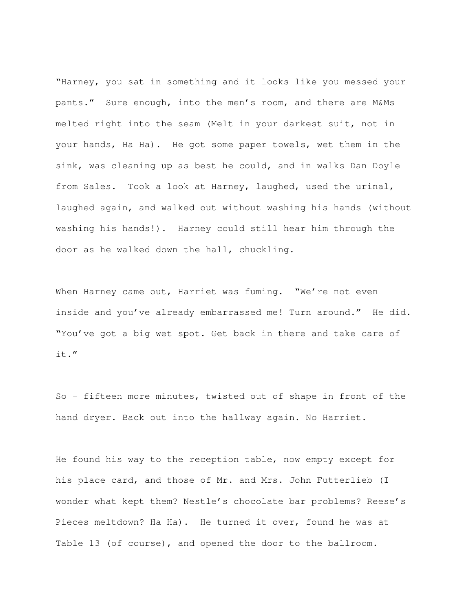"Harney, you sat in something and it looks like you messed your pants." Sure enough, into the men's room, and there are M&Ms melted right into the seam (Melt in your darkest suit, not in your hands, Ha Ha). He got some paper towels, wet them in the sink, was cleaning up as best he could, and in walks Dan Doyle from Sales. Took a look at Harney, laughed, used the urinal, laughed again, and walked out without washing his hands (without washing his hands!). Harney could still hear him through the door as he walked down the hall, chuckling.

When Harney came out, Harriet was fuming. "We're not even inside and you've already embarrassed me! Turn around." He did. "You've got a big wet spot. Get back in there and take care of it."

So – fifteen more minutes, twisted out of shape in front of the hand dryer. Back out into the hallway again. No Harriet.

He found his way to the reception table, now empty except for his place card, and those of Mr. and Mrs. John Futterlieb (I wonder what kept them? Nestle's chocolate bar problems? Reese's Pieces meltdown? Ha Ha). He turned it over, found he was at Table 13 (of course), and opened the door to the ballroom.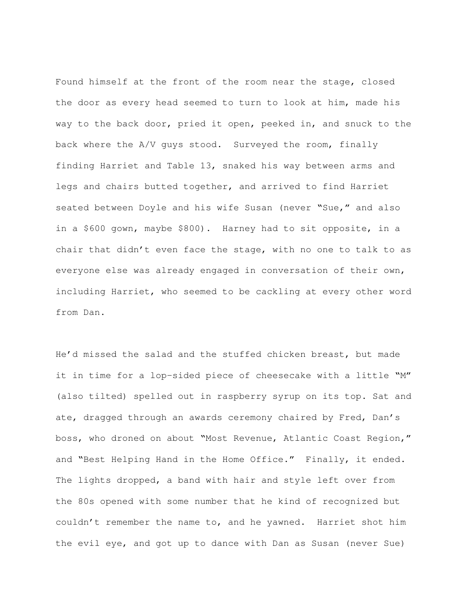Found himself at the front of the room near the stage, closed the door as every head seemed to turn to look at him, made his way to the back door, pried it open, peeked in, and snuck to the back where the A/V guys stood. Surveyed the room, finally finding Harriet and Table 13, snaked his way between arms and legs and chairs butted together, and arrived to find Harriet seated between Doyle and his wife Susan (never "Sue," and also in a \$600 gown, maybe \$800). Harney had to sit opposite, in a chair that didn't even face the stage, with no one to talk to as everyone else was already engaged in conversation of their own, including Harriet, who seemed to be cackling at every other word from Dan.

He'd missed the salad and the stuffed chicken breast, but made it in time for a lop-sided piece of cheesecake with a little "M" (also tilted) spelled out in raspberry syrup on its top. Sat and ate, dragged through an awards ceremony chaired by Fred, Dan's boss, who droned on about "Most Revenue, Atlantic Coast Region," and "Best Helping Hand in the Home Office." Finally, it ended. The lights dropped, a band with hair and style left over from the 80s opened with some number that he kind of recognized but couldn't remember the name to, and he yawned. Harriet shot him the evil eye, and got up to dance with Dan as Susan (never Sue)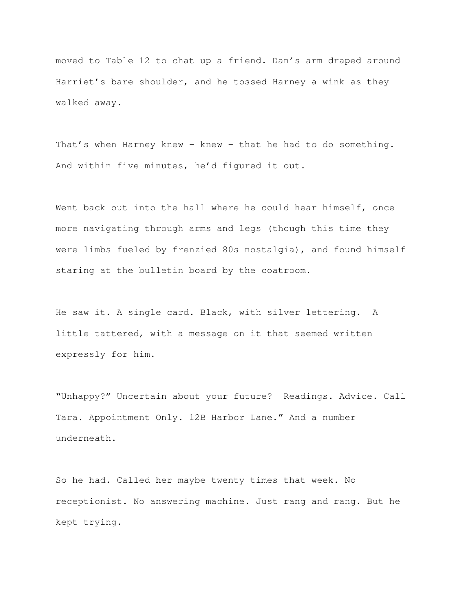moved to Table 12 to chat up a friend. Dan's arm draped around Harriet's bare shoulder, and he tossed Harney a wink as they walked away.

That's when Harney knew – knew – that he had to do something. And within five minutes, he'd figured it out.

Went back out into the hall where he could hear himself, once more navigating through arms and legs (though this time they were limbs fueled by frenzied 80s nostalgia), and found himself staring at the bulletin board by the coatroom.

He saw it. A single card. Black, with silver lettering. A little tattered, with a message on it that seemed written expressly for him.

"Unhappy?" Uncertain about your future? Readings. Advice. Call Tara. Appointment Only. 12B Harbor Lane." And a number underneath.

So he had. Called her maybe twenty times that week. No receptionist. No answering machine. Just rang and rang. But he kept trying.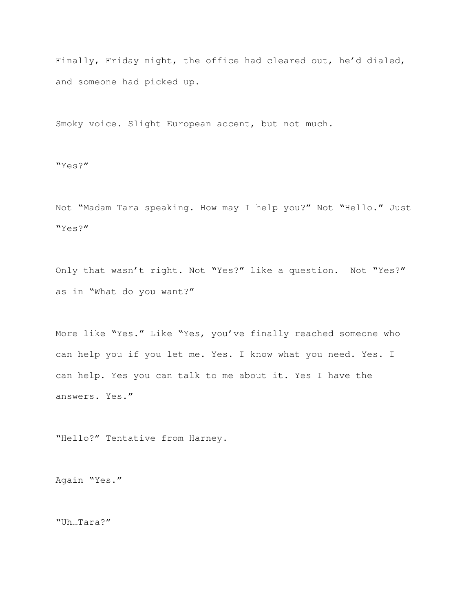Finally, Friday night, the office had cleared out, he'd dialed, and someone had picked up.

Smoky voice. Slight European accent, but not much.

"Yes?"

Not "Madam Tara speaking. How may I help you?" Not "Hello." Just "Yes?"

Only that wasn't right. Not "Yes?" like a question. Not "Yes?" as in "What do you want?"

More like "Yes." Like "Yes, you've finally reached someone who can help you if you let me. Yes. I know what you need. Yes. I can help. Yes you can talk to me about it. Yes I have the answers. Yes."

"Hello?" Tentative from Harney.

Again "Yes."

"Uh…Tara?"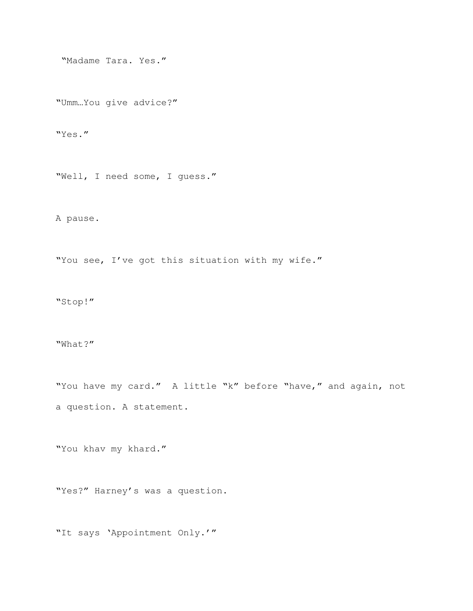"Madame Tara. Yes."

"Umm…You give advice?"

"Yes."

"Well, I need some, I guess."

A pause.

"You see, I've got this situation with my wife."

"Stop!"

## "What?"

"You have my card." A little "k" before "have," and again, not a question. A statement.

"You khav my khard."

"Yes?" Harney's was a question.

"It says 'Appointment Only.'"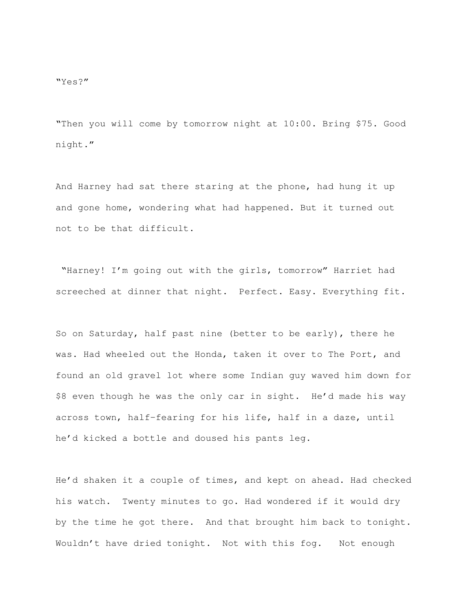"Then you will come by tomorrow night at 10:00. Bring \$75. Good night."

And Harney had sat there staring at the phone, had hung it up and gone home, wondering what had happened. But it turned out not to be that difficult.

 "Harney! I'm going out with the girls, tomorrow" Harriet had screeched at dinner that night. Perfect. Easy. Everything fit.

So on Saturday, half past nine (better to be early), there he was. Had wheeled out the Honda, taken it over to The Port, and found an old gravel lot where some Indian guy waved him down for \$8 even though he was the only car in sight. He'd made his way across town, half-fearing for his life, half in a daze, until he'd kicked a bottle and doused his pants leg.

He'd shaken it a couple of times, and kept on ahead. Had checked his watch. Twenty minutes to go. Had wondered if it would dry by the time he got there. And that brought him back to tonight. Wouldn't have dried tonight. Not with this fog. Not enough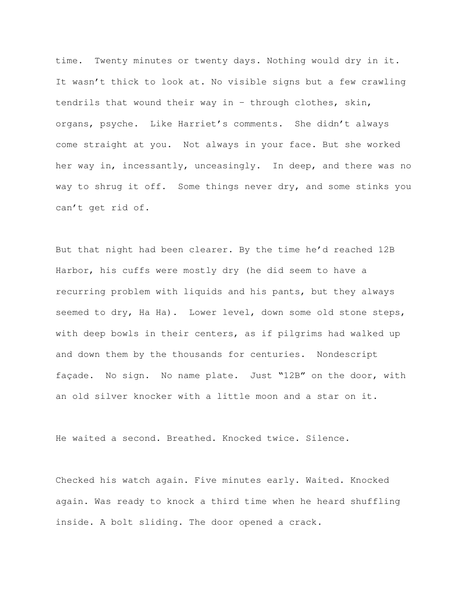time. Twenty minutes or twenty days. Nothing would dry in it. It wasn't thick to look at. No visible signs but a few crawling tendrils that wound their way in – through clothes, skin, organs, psyche. Like Harriet's comments. She didn't always come straight at you. Not always in your face. But she worked her way in, incessantly, unceasingly. In deep, and there was no way to shrug it off. Some things never dry, and some stinks you can't get rid of.

But that night had been clearer. By the time he'd reached 12B Harbor, his cuffs were mostly dry (he did seem to have a recurring problem with liquids and his pants, but they always seemed to dry, Ha Ha). Lower level, down some old stone steps, with deep bowls in their centers, as if pilgrims had walked up and down them by the thousands for centuries. Nondescript façade. No sign. No name plate. Just "12B" on the door, with an old silver knocker with a little moon and a star on it.

He waited a second. Breathed. Knocked twice. Silence.

Checked his watch again. Five minutes early. Waited. Knocked again. Was ready to knock a third time when he heard shuffling inside. A bolt sliding. The door opened a crack.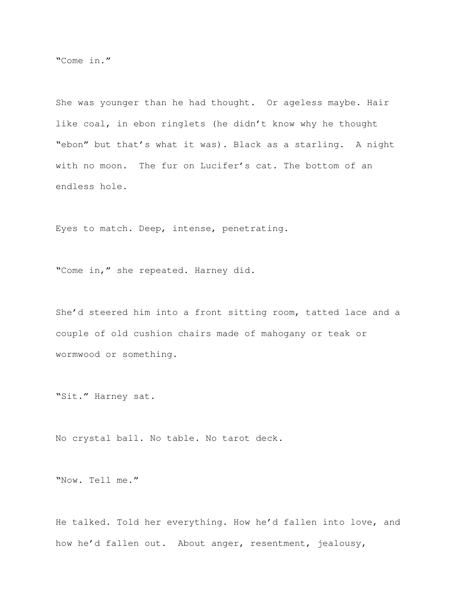"Come in."

She was younger than he had thought. Or ageless maybe. Hair like coal, in ebon ringlets (he didn't know why he thought "ebon" but that's what it was). Black as a starling. A night with no moon. The fur on Lucifer's cat. The bottom of an endless hole.

Eyes to match. Deep, intense, penetrating.

"Come in," she repeated. Harney did.

She'd steered him into a front sitting room, tatted lace and a couple of old cushion chairs made of mahogany or teak or wormwood or something.

"Sit." Harney sat.

No crystal ball. No table. No tarot deck.

"Now. Tell me."

He talked. Told her everything. How he'd fallen into love, and how he'd fallen out. About anger, resentment, jealousy,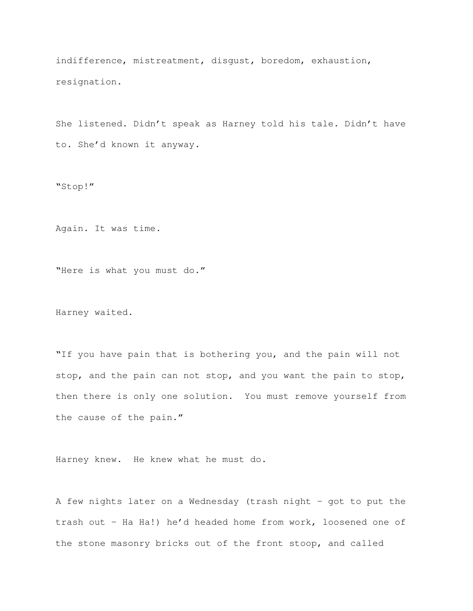indifference, mistreatment, disgust, boredom, exhaustion, resignation.

She listened. Didn't speak as Harney told his tale. Didn't have to. She'd known it anyway.

"Stop!"

Again. It was time.

"Here is what you must do."

Harney waited.

"If you have pain that is bothering you, and the pain will not stop, and the pain can not stop, and you want the pain to stop, then there is only one solution. You must remove yourself from the cause of the pain."

Harney knew. He knew what he must do.

A few nights later on a Wednesday (trash night – got to put the trash out – Ha Ha!) he'd headed home from work, loosened one of the stone masonry bricks out of the front stoop, and called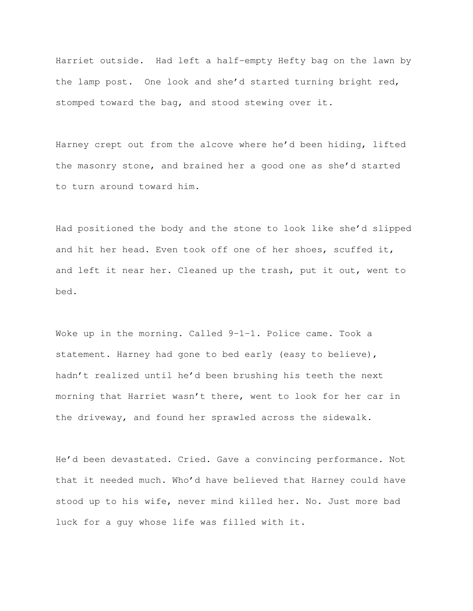Harriet outside. Had left a half-empty Hefty bag on the lawn by the lamp post. One look and she'd started turning bright red, stomped toward the bag, and stood stewing over it.

Harney crept out from the alcove where he'd been hiding, lifted the masonry stone, and brained her a good one as she'd started to turn around toward him.

Had positioned the body and the stone to look like she'd slipped and hit her head. Even took off one of her shoes, scuffed it, and left it near her. Cleaned up the trash, put it out, went to bed.

Woke up in the morning. Called 9-1-1. Police came. Took a statement. Harney had gone to bed early (easy to believe), hadn't realized until he'd been brushing his teeth the next morning that Harriet wasn't there, went to look for her car in the driveway, and found her sprawled across the sidewalk.

He'd been devastated. Cried. Gave a convincing performance. Not that it needed much. Who'd have believed that Harney could have stood up to his wife, never mind killed her. No. Just more bad luck for a guy whose life was filled with it.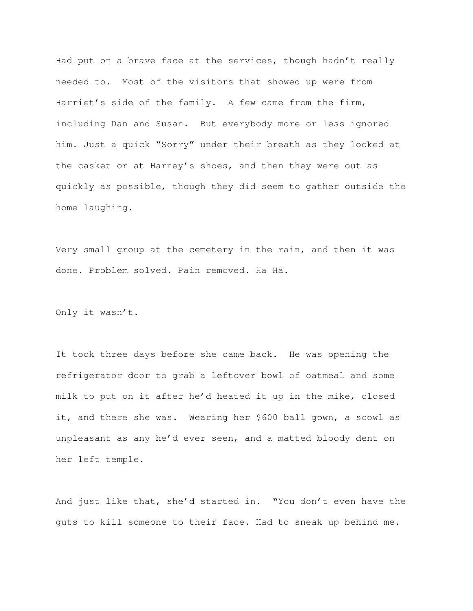Had put on a brave face at the services, though hadn't really needed to. Most of the visitors that showed up were from Harriet's side of the family. A few came from the firm, including Dan and Susan. But everybody more or less ignored him. Just a quick "Sorry" under their breath as they looked at the casket or at Harney's shoes, and then they were out as quickly as possible, though they did seem to gather outside the home laughing.

Very small group at the cemetery in the rain, and then it was done. Problem solved. Pain removed. Ha Ha.

Only it wasn't.

It took three days before she came back. He was opening the refrigerator door to grab a leftover bowl of oatmeal and some milk to put on it after he'd heated it up in the mike, closed it, and there she was. Wearing her \$600 ball gown, a scowl as unpleasant as any he'd ever seen, and a matted bloody dent on her left temple.

And just like that, she'd started in. "You don't even have the guts to kill someone to their face. Had to sneak up behind me.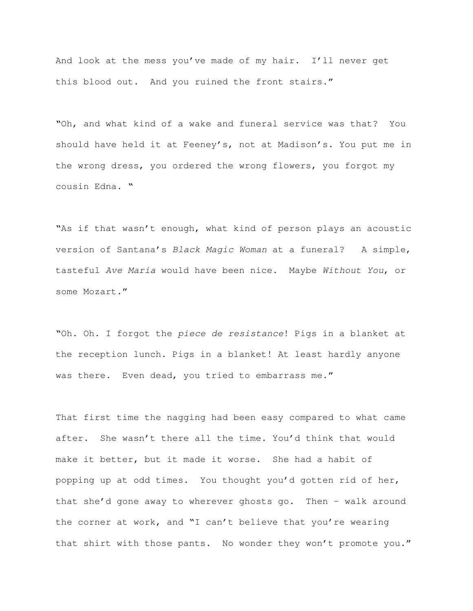And look at the mess you've made of my hair. I'll never get this blood out. And you ruined the front stairs."

"Oh, and what kind of a wake and funeral service was that? You should have held it at Feeney's, not at Madison's. You put me in the wrong dress, you ordered the wrong flowers, you forgot my cousin Edna. "

"As if that wasn't enough, what kind of person plays an acoustic version of Santana's Black Magic Woman at a funeral? A simple, tasteful Ave Maria would have been nice. Maybe Without You, or some Mozart."

"Oh. Oh. I forgot the piece de resistance! Pigs in a blanket at the reception lunch. Pigs in a blanket! At least hardly anyone was there. Even dead, you tried to embarrass me."

That first time the nagging had been easy compared to what came after. She wasn't there all the time. You'd think that would make it better, but it made it worse. She had a habit of popping up at odd times. You thought you'd gotten rid of her, that she'd gone away to wherever ghosts go. Then - walk around the corner at work, and "I can't believe that you're wearing that shirt with those pants. No wonder they won't promote you."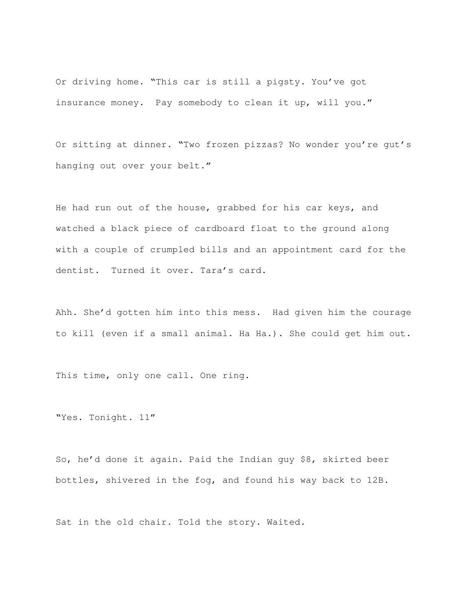Or driving home. "This car is still a pigsty. You've got insurance money. Pay somebody to clean it up, will you."

Or sitting at dinner. "Two frozen pizzas? No wonder you're gut's hanging out over your belt."

He had run out of the house, grabbed for his car keys, and watched a black piece of cardboard float to the ground along with a couple of crumpled bills and an appointment card for the dentist. Turned it over. Tara's card.

Ahh. She'd gotten him into this mess. Had given him the courage to kill (even if a small animal. Ha Ha.). She could get him out.

This time, only one call. One ring.

"Yes. Tonight. 11"

So, he'd done it again. Paid the Indian guy \$8, skirted beer bottles, shivered in the fog, and found his way back to 12B.

Sat in the old chair. Told the story. Waited.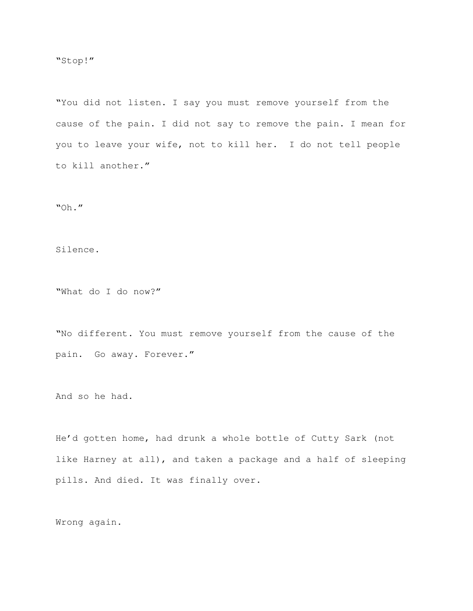"You did not listen. I say you must remove yourself from the cause of the pain. I did not say to remove the pain. I mean for you to leave your wife, not to kill her. I do not tell people to kill another."

"Oh."

Silence.

"What do I do now?"

"No different. You must remove yourself from the cause of the pain. Go away. Forever."

And so he had.

He'd gotten home, had drunk a whole bottle of Cutty Sark (not like Harney at all), and taken a package and a half of sleeping pills. And died. It was finally over.

Wrong again.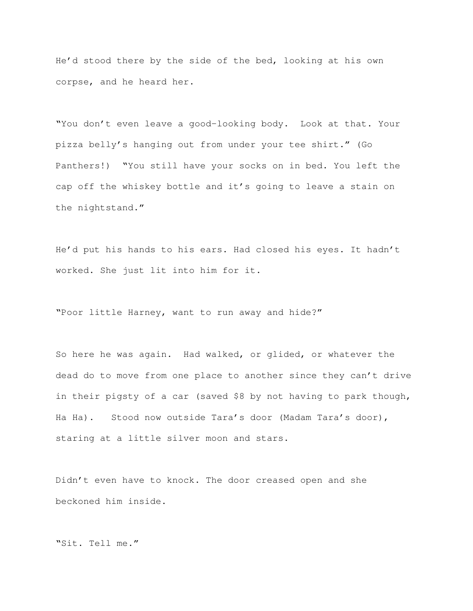He'd stood there by the side of the bed, looking at his own corpse, and he heard her.

"You don't even leave a good-looking body. Look at that. Your pizza belly's hanging out from under your tee shirt." (Go Panthers!) "You still have your socks on in bed. You left the cap off the whiskey bottle and it's going to leave a stain on the nightstand."

He'd put his hands to his ears. Had closed his eyes. It hadn't worked. She just lit into him for it.

"Poor little Harney, want to run away and hide?"

So here he was again. Had walked, or glided, or whatever the dead do to move from one place to another since they can't drive in their pigsty of a car (saved \$8 by not having to park though, Ha Ha). Stood now outside Tara's door (Madam Tara's door), staring at a little silver moon and stars.

Didn't even have to knock. The door creased open and she beckoned him inside.

"Sit. Tell me."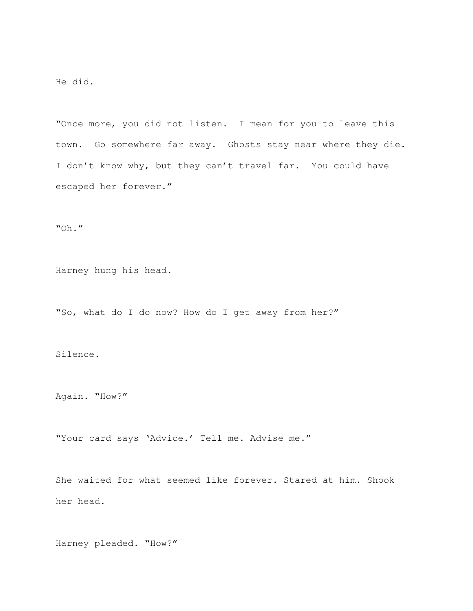He did.

"Once more, you did not listen. I mean for you to leave this town. Go somewhere far away. Ghosts stay near where they die. I don't know why, but they can't travel far. You could have escaped her forever."

"Oh."

Harney hung his head.

"So, what do I do now? How do I get away from her?"

Silence.

Again. "How?"

"Your card says 'Advice.' Tell me. Advise me."

She waited for what seemed like forever. Stared at him. Shook her head.

Harney pleaded. "How?"